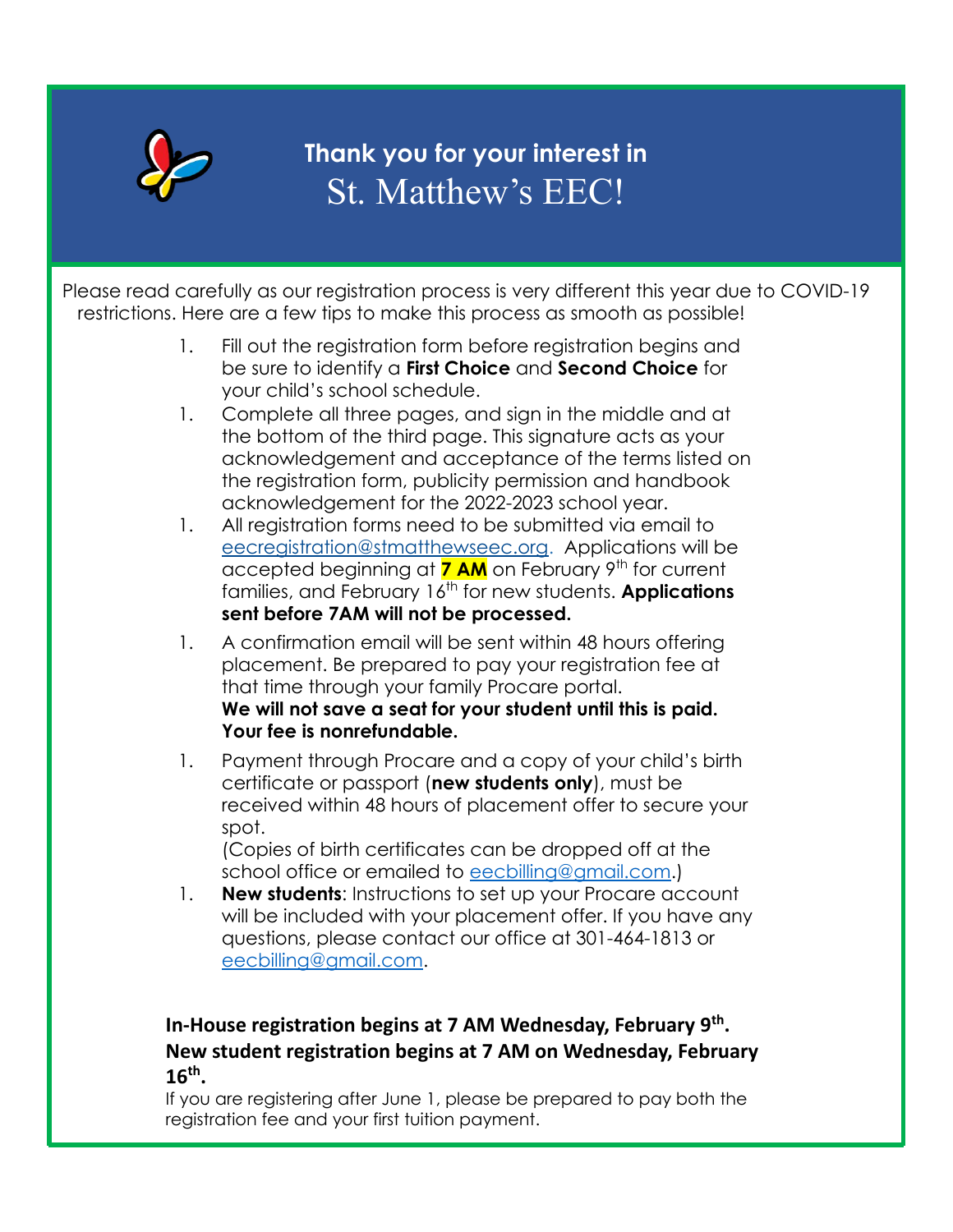

## **Thank you for your interest in** St. Matthew's EEC!

 Please read carefully as our registration process is very different this year due to COVID-19 restrictions. Here are a few tips to make this process as smooth as possible!

- 1. Fill out the registration form before registration begins and be sure to identify a **First Choice** and **Second Choice** for your child's school schedule.
- 1. Complete all three pages, and sign in the middle and at the bottom of the third page. This signature acts as your acknowledgement and acceptance of the terms listed on the registration form, publicity permission and handbook acknowledgement for the 2022-2023 school year.
- 1. All registration forms need to be submitted via email to [eecregistration@stmatthewseec.org.](mailto:eecregistration@stmatthewseec.org) Applications will be accepted beginning at **7 AM** on February 9<sup>th</sup> for current families, and February 16<sup>th</sup> for new students. **Applications sent before 7AM will not be processed.**
- 1. A confirmation email will be sent within 48 hours offering placement. Be prepared to pay your registration fee at that time through your family Procare portal. **We will not save a seat for your student until this is paid. Your fee is nonrefundable.**
- 1. Payment through Procare and a copy of your child's birth certificate or passport (**new students only**), must be received within 48 hours of placement offer to secure your spot.

(Copies of birth certificates can be dropped off at the school office or emailed to [eecbilling@gmail.com](mailto:eecbilling@gmail.com).)

1. **New students**: Instructions to set up your Procare account will be included with your placement offer. If you have any questions, please contact our office at 301-464-1813 or [eecbilling@gmail.com.](mailto:eecbilling@gmail.com)

## **In-House registration begins at 7 AM Wednesday, February 9th . New student registration begins at 7 AM on Wednesday, February 16th .**

If you are registering after June 1, please be prepared to pay both the registration fee and your first tuition payment.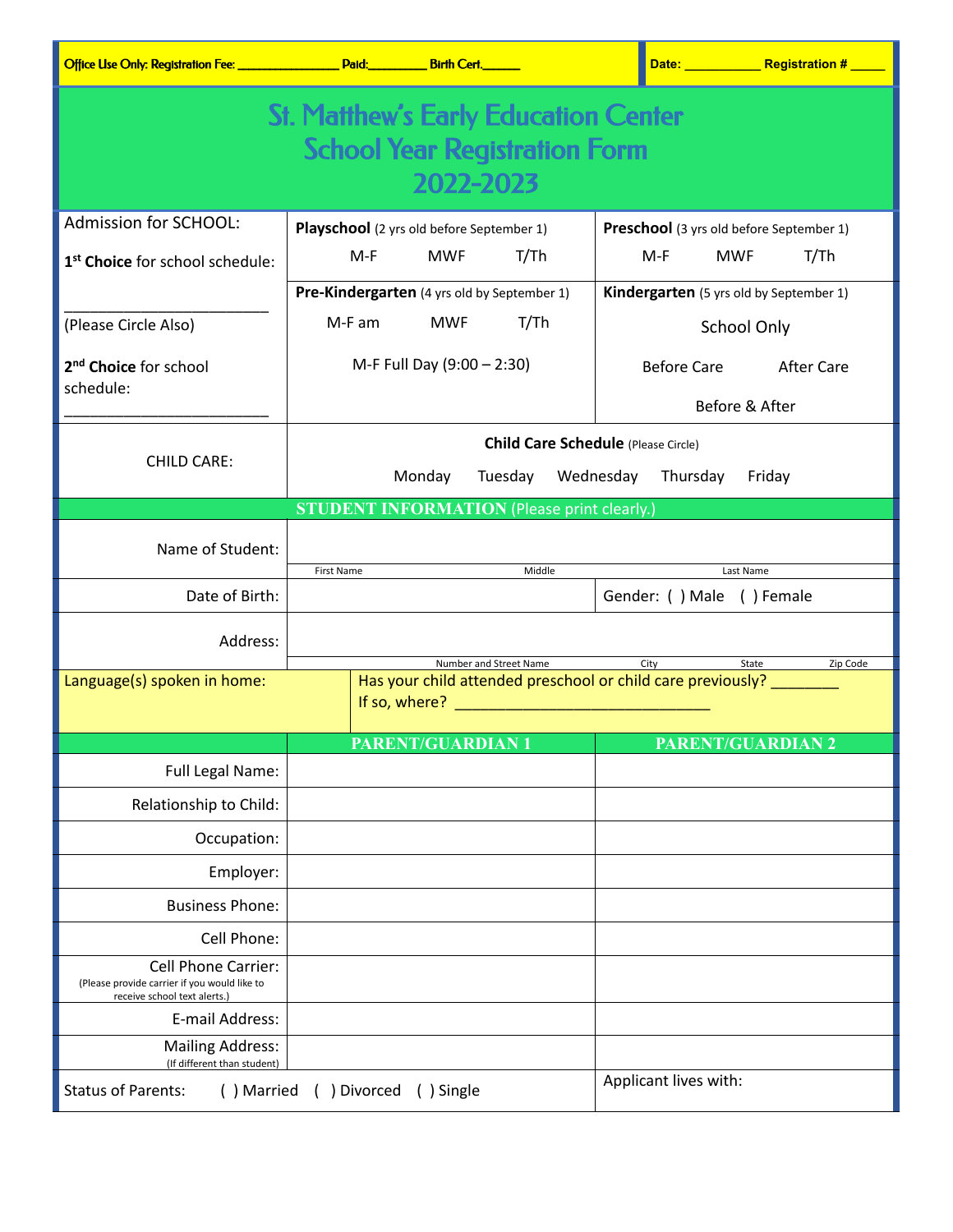| <b>St. Matthew's Early Education Center</b>                                                                |                                                                                                                                                                                                                                                                                                                                                            |                                          |  |  |  |  |  |
|------------------------------------------------------------------------------------------------------------|------------------------------------------------------------------------------------------------------------------------------------------------------------------------------------------------------------------------------------------------------------------------------------------------------------------------------------------------------------|------------------------------------------|--|--|--|--|--|
| <b>School Year Registration Form</b>                                                                       |                                                                                                                                                                                                                                                                                                                                                            |                                          |  |  |  |  |  |
|                                                                                                            | 2022-2023                                                                                                                                                                                                                                                                                                                                                  |                                          |  |  |  |  |  |
| Admission for SCHOOL:                                                                                      | Playschool (2 yrs old before September 1)                                                                                                                                                                                                                                                                                                                  | Preschool (3 yrs old before September 1) |  |  |  |  |  |
| 1 <sup>st</sup> Choice for school schedule:                                                                | T/Th<br>$M-F$<br><b>MWF</b>                                                                                                                                                                                                                                                                                                                                | $M-F$<br><b>MWF</b><br>T/Th              |  |  |  |  |  |
|                                                                                                            | Pre-Kindergarten (4 yrs old by September 1)                                                                                                                                                                                                                                                                                                                | Kindergarten (5 yrs old by September 1)  |  |  |  |  |  |
| (Please Circle Also)                                                                                       | T/Th<br>M-F am<br><b>MWF</b>                                                                                                                                                                                                                                                                                                                               | School Only                              |  |  |  |  |  |
| 2 <sup>nd</sup> Choice for school                                                                          | M-F Full Day (9:00 - 2:30)                                                                                                                                                                                                                                                                                                                                 | <b>Before Care</b><br><b>After Care</b>  |  |  |  |  |  |
| schedule:                                                                                                  |                                                                                                                                                                                                                                                                                                                                                            |                                          |  |  |  |  |  |
|                                                                                                            |                                                                                                                                                                                                                                                                                                                                                            | Before & After                           |  |  |  |  |  |
| <b>CHILD CARE:</b>                                                                                         | <b>Child Care Schedule</b> (Please Circle)                                                                                                                                                                                                                                                                                                                 |                                          |  |  |  |  |  |
|                                                                                                            | Monday<br>Wednesday<br>Tuesday<br>Thursday<br>Friday                                                                                                                                                                                                                                                                                                       |                                          |  |  |  |  |  |
|                                                                                                            | <b>STUDENT INFORMATION (Please print clearly.)</b>                                                                                                                                                                                                                                                                                                         |                                          |  |  |  |  |  |
| Name of Student:                                                                                           |                                                                                                                                                                                                                                                                                                                                                            |                                          |  |  |  |  |  |
|                                                                                                            | Middle<br><b>First Name</b>                                                                                                                                                                                                                                                                                                                                | Last Name                                |  |  |  |  |  |
| Date of Birth:                                                                                             |                                                                                                                                                                                                                                                                                                                                                            | Gender: () Male () Female                |  |  |  |  |  |
| Address:                                                                                                   |                                                                                                                                                                                                                                                                                                                                                            |                                          |  |  |  |  |  |
| Language(s) spoken in home:                                                                                | Number and Street Name<br>City<br>Zip Code<br>State<br>Has your child attended preschool or child care previously?<br>If so, where? <b>We are all the contract of the contract of the contract of the contract of the contract of the contract of the contract of the contract of the contract of the contract of the contract of the contract of the </b> |                                          |  |  |  |  |  |
|                                                                                                            |                                                                                                                                                                                                                                                                                                                                                            |                                          |  |  |  |  |  |
|                                                                                                            | <b>PARENT/GUARDIAN 1</b>                                                                                                                                                                                                                                                                                                                                   | <b>PARENT/GUARDIAN 2</b>                 |  |  |  |  |  |
| <b>Full Legal Name:</b>                                                                                    |                                                                                                                                                                                                                                                                                                                                                            |                                          |  |  |  |  |  |
| Relationship to Child:                                                                                     |                                                                                                                                                                                                                                                                                                                                                            |                                          |  |  |  |  |  |
| Occupation:                                                                                                |                                                                                                                                                                                                                                                                                                                                                            |                                          |  |  |  |  |  |
| Employer:                                                                                                  |                                                                                                                                                                                                                                                                                                                                                            |                                          |  |  |  |  |  |
| <b>Business Phone:</b>                                                                                     |                                                                                                                                                                                                                                                                                                                                                            |                                          |  |  |  |  |  |
| Cell Phone:                                                                                                |                                                                                                                                                                                                                                                                                                                                                            |                                          |  |  |  |  |  |
| <b>Cell Phone Carrier:</b><br>(Please provide carrier if you would like to<br>receive school text alerts.) |                                                                                                                                                                                                                                                                                                                                                            |                                          |  |  |  |  |  |
| E-mail Address:                                                                                            |                                                                                                                                                                                                                                                                                                                                                            |                                          |  |  |  |  |  |
| <b>Mailing Address:</b><br>(If different than student)                                                     |                                                                                                                                                                                                                                                                                                                                                            |                                          |  |  |  |  |  |
| <b>Status of Parents:</b><br>() Married                                                                    | Applicant lives with:                                                                                                                                                                                                                                                                                                                                      |                                          |  |  |  |  |  |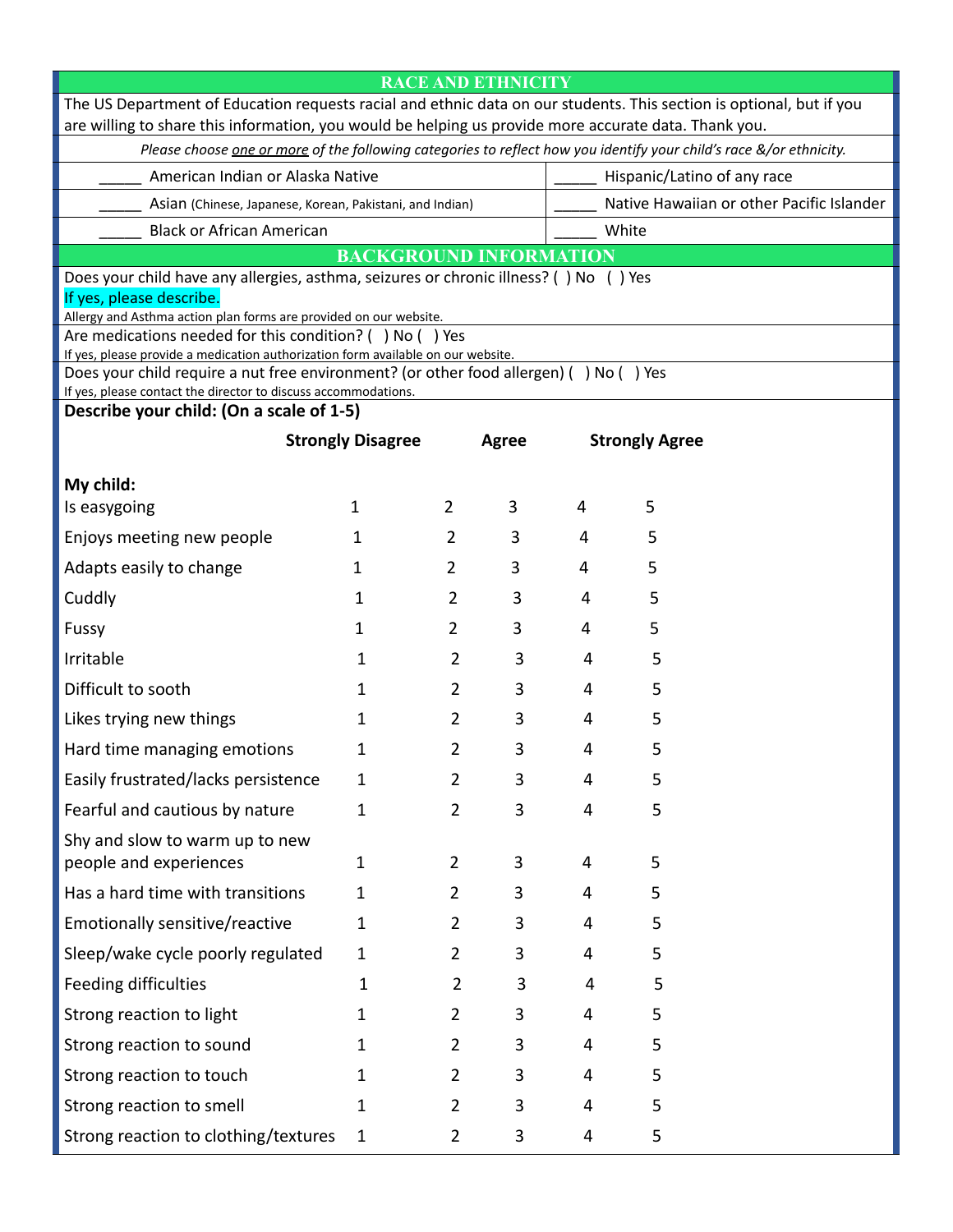|                                                                                                                                                                                                                               |                          |                | <b>RACE AND ETHNICITY</b> |                                           |                       |  |  |
|-------------------------------------------------------------------------------------------------------------------------------------------------------------------------------------------------------------------------------|--------------------------|----------------|---------------------------|-------------------------------------------|-----------------------|--|--|
| The US Department of Education requests racial and ethnic data on our students. This section is optional, but if you<br>are willing to share this information, you would be helping us provide more accurate data. Thank you. |                          |                |                           |                                           |                       |  |  |
| Please choose one or more of the following categories to reflect how you identify your child's race &/or ethnicity.                                                                                                           |                          |                |                           |                                           |                       |  |  |
| American Indian or Alaska Native                                                                                                                                                                                              |                          |                |                           | Hispanic/Latino of any race               |                       |  |  |
| Asian (Chinese, Japanese, Korean, Pakistani, and Indian)                                                                                                                                                                      |                          |                |                           | Native Hawaiian or other Pacific Islander |                       |  |  |
| <b>Black or African American</b>                                                                                                                                                                                              |                          |                | White                     |                                           |                       |  |  |
| <b>BACKGROUND INFORMATION</b>                                                                                                                                                                                                 |                          |                |                           |                                           |                       |  |  |
| Does your child have any allergies, asthma, seizures or chronic illness? () No () Yes<br>If yes, please describe.                                                                                                             |                          |                |                           |                                           |                       |  |  |
| Allergy and Asthma action plan forms are provided on our website.                                                                                                                                                             |                          |                |                           |                                           |                       |  |  |
| Are medications needed for this condition? () No () Yes<br>If yes, please provide a medication authorization form available on our website.                                                                                   |                          |                |                           |                                           |                       |  |  |
| Does your child require a nut free environment? (or other food allergen) () No () Yes<br>If yes, please contact the director to discuss accommodations.                                                                       |                          |                |                           |                                           |                       |  |  |
| Describe your child: (On a scale of 1-5)                                                                                                                                                                                      |                          |                |                           |                                           |                       |  |  |
|                                                                                                                                                                                                                               | <b>Strongly Disagree</b> |                | <b>Agree</b>              |                                           | <b>Strongly Agree</b> |  |  |
| My child:                                                                                                                                                                                                                     |                          |                |                           |                                           |                       |  |  |
| Is easygoing                                                                                                                                                                                                                  | 1                        | 2              | 3                         | 4                                         | 5                     |  |  |
| Enjoys meeting new people                                                                                                                                                                                                     | 1                        | $\overline{2}$ | 3                         | 4                                         | 5                     |  |  |
| Adapts easily to change                                                                                                                                                                                                       | 1                        | $\overline{2}$ | 3                         | 4                                         | 5                     |  |  |
| Cuddly                                                                                                                                                                                                                        | 1                        | 2              | 3                         | 4                                         | 5                     |  |  |
| Fussy                                                                                                                                                                                                                         | 1                        | 2              | 3                         | 4                                         | 5                     |  |  |
| Irritable                                                                                                                                                                                                                     | 1                        | $\overline{2}$ | 3                         | 4                                         | 5                     |  |  |
| Difficult to sooth                                                                                                                                                                                                            | 1                        | 2              | 3                         | 4                                         | 5                     |  |  |
| Likes trying new things                                                                                                                                                                                                       | 1                        | 2              | 3                         | 4                                         | 5                     |  |  |
| Hard time managing emotions                                                                                                                                                                                                   | 1                        | 2              | 3                         | 4                                         | 5                     |  |  |
| Easily frustrated/lacks persistence                                                                                                                                                                                           | $\mathbf{1}$             | $\overline{2}$ | 3                         | 4                                         | 5                     |  |  |
| Fearful and cautious by nature                                                                                                                                                                                                | 1                        | $\overline{2}$ | 3                         | 4                                         | 5                     |  |  |
| Shy and slow to warm up to new<br>people and experiences                                                                                                                                                                      | $\mathbf{1}$             | $\overline{2}$ | 3                         | 4                                         | 5                     |  |  |
| Has a hard time with transitions                                                                                                                                                                                              | $\mathbf{1}$             | $\overline{2}$ | 3                         | 4                                         | 5                     |  |  |
| Emotionally sensitive/reactive                                                                                                                                                                                                | 1                        | $\overline{2}$ | 3                         | 4                                         | 5                     |  |  |
| Sleep/wake cycle poorly regulated                                                                                                                                                                                             | $\mathbf{1}$             | $\overline{2}$ | 3                         | 4                                         | 5                     |  |  |
| Feeding difficulties                                                                                                                                                                                                          | $\mathbf{1}$             | $\overline{2}$ | 3                         | 4                                         | 5                     |  |  |
| Strong reaction to light                                                                                                                                                                                                      | 1                        | $\overline{2}$ | 3                         | 4                                         | 5                     |  |  |
| Strong reaction to sound                                                                                                                                                                                                      | 1                        | $\overline{2}$ | 3                         | 4                                         | 5                     |  |  |
| Strong reaction to touch                                                                                                                                                                                                      | 1                        | $\overline{2}$ | 3                         | 4                                         | 5                     |  |  |
| Strong reaction to smell                                                                                                                                                                                                      | 1                        | $\overline{2}$ | 3                         | 4                                         | 5                     |  |  |
| Strong reaction to clothing/textures                                                                                                                                                                                          | $\mathbf{1}$             | $\overline{2}$ | 3                         | 4                                         | 5                     |  |  |